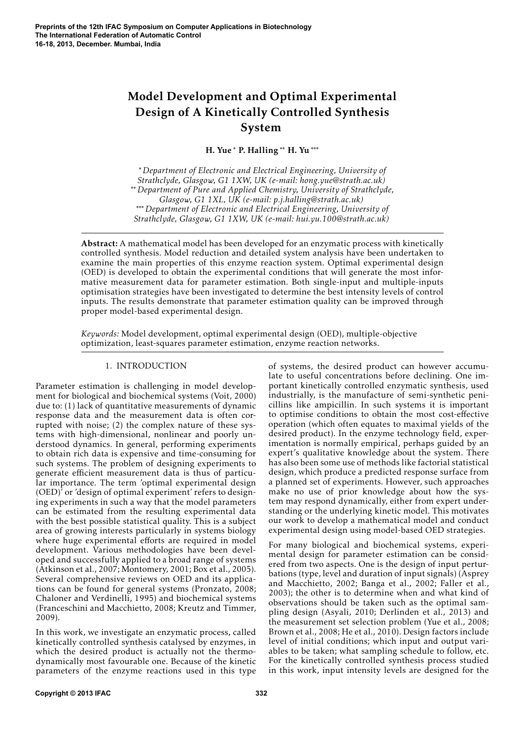# Model Development and Optimal Experimental Design of A Kinetically Controlled Synthesis System

H. Yue <sup>∗</sup> P. Halling ∗∗ H. Yu ∗∗∗

<sup>∗</sup> *Department of Electronic and Electrical Engineering, University of Strathclyde, Glasgow, G1 1XW, UK (e-mail: hong.yue@strath.ac.uk)* ∗∗ *Department of Pure and Applied Chemistry, University of Strathclyde, Glasgow, G1 1XL, UK (e-mail: p.j.halling@strath.ac.uk)* ∗∗∗ *Department of Electronic and Electrical Engineering, University of Strathclyde, Glasgow, G1 1XW, UK (e-mail: hui.yu.100@strath.ac.uk)*

Abstract: A mathematical model has been developed for an enzymatic process with kinetically controlled synthesis. Model reduction and detailed system analysis have been undertaken to examine the main properties of this enzyme reaction system. Optimal experimental design (OED) is developed to obtain the experimental conditions that will generate the most informative measurement data for parameter estimation. Both single-input and multiple-inputs optimisation strategies have been investigated to determine the best intensity levels of control inputs. The results demonstrate that parameter estimation quality can be improved through proper model-based experimental design.

*Keywords:* Model development, optimal experimental design (OED), multiple-objective optimization, least-squares parameter estimation, enzyme reaction networks.

# 1. INTRODUCTION

Parameter estimation is challenging in model development for biological and biochemical systems (Voit, 2000) due to: (1) lack of quantitative measurements of dynamic response data and the measurement data is often corrupted with noise; (2) the complex nature of these systems with high-dimensional, nonlinear and poorly understood dynamics. In general, performing experiments to obtain rich data is expensive and time-consuming for such systems. The problem of designing experiments to generate efficient measurement data is thus of particular importance. The term 'optimal experimental design (OED)' or 'design of optimal experiment' refers to designing experiments in such a way that the model parameters can be estimated from the resulting experimental data with the best possible statistical quality. This is a subject area of growing interests particularly in systems biology where huge experimental efforts are required in model development. Various methodologies have been developed and successfully applied to a broad range of systems (Atkinson et al., 2007; Montomery, 2001; Box et al., 2005). Several comprehensive reviews on OED and its applications can be found for general systems (Pronzato, 2008; Chaloner and Verdinelli, 1995) and biochemical systems (Franceschini and Macchietto, 2008; Kreutz and Timmer, 2009).

In this work, we investigate an enzymatic process, called kinetically controlled synthesis catalysed by enzymes, in which the desired product is actually not the thermodynamically most favourable one. Because of the kinetic parameters of the enzyme reactions used in this type

of systems, the desired product can however accumulate to useful concentrations before declining. One important kinetically controlled enzymatic synthesis, used industrially, is the manufacture of semi-synthetic penicillins like ampicillin. In such systems it is important to optimise conditions to obtain the most cost-effective operation (which often equates to maximal yields of the desired product). In the enzyme technology field, experimentation is normally empirical, perhaps guided by an expert's qualitative knowledge about the system. There has also been some use of methods like factorial statistical design, which produce a predicted response surface from a planned set of experiments. However, such approaches make no use of prior knowledge about how the system may respond dynamically, either from expert understanding or the underlying kinetic model. This motivates our work to develop a mathematical model and conduct experimental design using model-based OED strategies.

For many biological and biochemical systems, experimental design for parameter estimation can be considered from two aspects. One is the design of input perturbations (type, level and duration of input signals) (Asprey and Macchietto, 2002; Banga et al., 2002; Faller et al., 2003); the other is to determine when and what kind of observations should be taken such as the optimal sampling design (Asyali, 2010; Derlinden et al., 2013) and the measurement set selection problem (Yue et al., 2008; Brown et al., 2008; He et al., 2010). Design factors include level of initial conditions; which input and output variables to be taken; what sampling schedule to follow, etc. For the kinetically controlled synthesis process studied in this work, input intensity levels are designed for the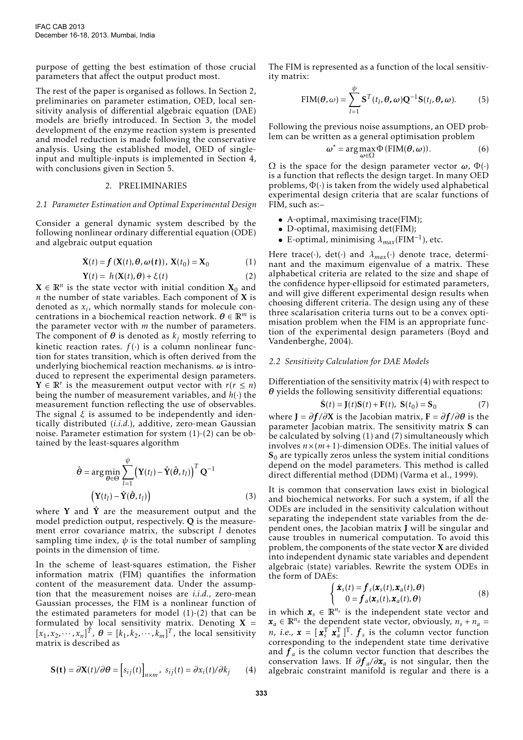purpose of getting the best estimation of those crucial parameters that affect the output product most.

The rest of the paper is organised as follows. In Section 2, preliminaries on parameter estimation, OED, local sensitivity analysis of differential algebraic equation (DAE) models are briefly introduced. In Section 3, the model development of the enzyme reaction system is presented and model reduction is made following the conservative analysis. Using the established model, OED of singleinput and multiple-inputs is implemented in Section 4, with conclusions given in Section 5.

## 2. PRELIMINARIES

#### *2.1 Parameter Estimation and Optimal Experimental Design*

Consider a general dynamic system described by the following nonlinear ordinary differential equation (ODE) and algebraic output equation

$$
\dot{\mathbf{X}}(t) = \mathbf{f}\left(\mathbf{X}(t), \boldsymbol{\theta}, \boldsymbol{\omega}(t)\right), \ \mathbf{X}(t_0) = \mathbf{X}_0 \tag{1}
$$

$$
\mathbf{Y}(t) = h(\mathbf{X}(t), \boldsymbol{\theta}) + \xi(t) \tag{2}
$$

 $X \in \mathbb{R}^n$  is the state vector with initial condition  $X_0$  and *n* the number of state variables. Each component of X is denoted as *x<sup>i</sup>* , which normally stands for molecule concentrations in a biochemical reaction network. *θ* ∈ R*<sup>m</sup>* is the parameter vector with *m* the number of parameters. The component of  $\theta$  is denoted as  $k_j$  mostly referring to kinetic reaction rates.  $f(.)$  is a column nonlinear function for states transition, which is often derived from the underlying biochemical reaction mechanisms. *ω* is introduced to represent the experimental design parameters.  $Y \in \mathbb{R}^r$  is the measurement output vector with  $r(r \leq n)$ being the number of measurement variables, and *h*(·) the measurement function reflecting the use of observables. The signal *ξ* is assumed to be independently and identically distributed (*i.i.d.*), additive, zero-mean Gaussian noise. Parameter estimation for system (1)-(2) can be obtained by the least-squares algorithm

$$
\hat{\boldsymbol{\theta}} = \arg\min_{\boldsymbol{\theta} \in \Theta} \sum_{l=1}^{\psi} \left( \mathbf{Y}(t_l) - \hat{\mathbf{Y}}(\hat{\boldsymbol{\theta}}, t_l) \right)^T \mathbf{Q}^{-1}
$$

$$
\left( \mathbf{Y}(t_l) - \hat{\mathbf{Y}}(\hat{\boldsymbol{\theta}}, t_l) \right) \tag{3}
$$

where Y and  $\hat{Y}$  are the measurement output and the model prediction output, respectively. Q is the measurement error covariance matrix, the subscript *l* denotes sampling time index,  $\psi$  is the total number of sampling points in the dimension of time.

In the scheme of least-squares estimation, the Fisher information matrix (FIM) quantifies the information content of the measurement data. Under the assumption that the measurement noises are *i.i.d.*, zero-mean Gaussian processes, the FIM is a nonlinear function of the estimated parameters for model  $(1)-(2)$  that can be formulated by local sensitivity matrix. Denoting  $X =$  $[x_1, x_2, \dots, x_n]^T$ ,  $\theta = [k_1, k_2, \dots, k_m]^T$ , the local sensitivity matrix is described as

$$
\mathbf{S(t)} = \partial \mathbf{X}(t) / \partial \boldsymbol{\theta} = \left[ s_{ij}(t) \right]_{n \times m}, \ s_{ij}(t) = \partial x_i(t) / \partial k_j \qquad (4)
$$

The FIM is represented as a function of the local sensitivity matrix:

$$
\text{FIM}(\boldsymbol{\theta}, \omega) = \sum_{l=1}^{\psi} \mathbf{S}^{T}(t_{l}, \boldsymbol{\theta}, \omega) \mathbf{Q}^{-1} \mathbf{S}(t_{l}, \boldsymbol{\theta}, \omega).
$$
 (5)

Following the previous noise assumptions, an OED problem can be written as a general optimisation problem

$$
\omega^* = \arg \max_{\omega \in \Omega} \Phi(\text{FIM}(\theta, \omega)).
$$
 (6)

 $Ω$  is the space for the design parameter vector  $ω$ ,  $Φ(·)$ is a function that reflects the design target. In many OED problems,  $\Phi(\cdot)$  is taken from the widely used alphabetical experimental design criteria that are scalar functions of FIM, such as:–

- A-optimal, maximising trace(FIM);
- D-optimal, maximising det(FIM);
- E-optimal, minimising *<sup>λ</sup>max*(FIM−<sup>1</sup> ), etc.

Here trace(·), det(·) and  $\lambda_{max}$ (·) denote trace, determinant and the maximum eigenvalue of a matrix. These alphabetical criteria are related to the size and shape of the confidence hyper-ellipsoid for estimated parameters, and will give different experimental design results when choosing different criteria. The design using any of these three scalarisation criteria turns out to be a convex optimisation problem when the FIM is an appropriate function of the experimental design parameters (Boyd and Vandenberghe, 2004).

#### *2.2 Sensitivity Calculation for DAE Models*

Differentiation of the sensitivity matrix (4) with respect to *θ* yields the following sensitivity differential equations:

$$
\dot{\mathbf{S}}(t) = \mathbf{J}(t)\mathbf{S}(t) + \mathbf{F}(t), \ \mathbf{S}(t_0) = \mathbf{S}_0 \tag{7}
$$

where  $J = \partial f / \partial X$  is the Jacobian matrix,  $F = \partial f / \partial \theta$  is the parameter Jacobian matrix. The sensitivity matrix S can be calculated by solving (1) and (7) simultaneously which involves  $n \times (m+1)$ -dimension ODEs. The initial values of  $S_0$  are typically zeros unless the system initial conditions depend on the model parameters. This method is called direct differential method (DDM) (Varma et al., 1999).

It is common that conservation laws exist in biological and biochemical networks. For such a system, if all the ODEs are included in the sensitivity calculation without separating the independent state variables from the dependent ones, the Jacobian matrix J will be singular and cause troubles in numerical computation. To avoid this problem, the components of the state vector X are divided into independent dynamic state variables and dependent algebraic (state) variables. Rewrite the system ODEs in the form of DAEs:

$$
\begin{cases} \dot{\boldsymbol{x}}_{s}(t) = \boldsymbol{f}_{s}(\boldsymbol{x}_{s}(t), \boldsymbol{x}_{a}(t), \boldsymbol{\theta}) \\ 0 = \boldsymbol{f}_{a}(\boldsymbol{x}_{s}(t), \boldsymbol{x}_{a}(t), \boldsymbol{\theta}) \end{cases}
$$
 (8)

in which  $\mathbf{x}_s \in \mathbb{R}^{n_s}$  is the independent state vector and  $x_a \in \mathbb{R}^{n_a}$  the dependent state vector, obviously,  $n_s + n_a =$ *n*, *i.e.*,  $\mathbf{x} = [\mathbf{x}_s^T \ \mathbf{x}_a^T]^T$ .  $\mathbf{f}_s$  is the column vector function corresponding to the independent state time derivative and  $f_a$  is the column vector function that describes the conservation laws. If *∂f <sup>a</sup> /∂x<sup>a</sup>* is not singular, then the algebraic constraint manifold is regular and there is a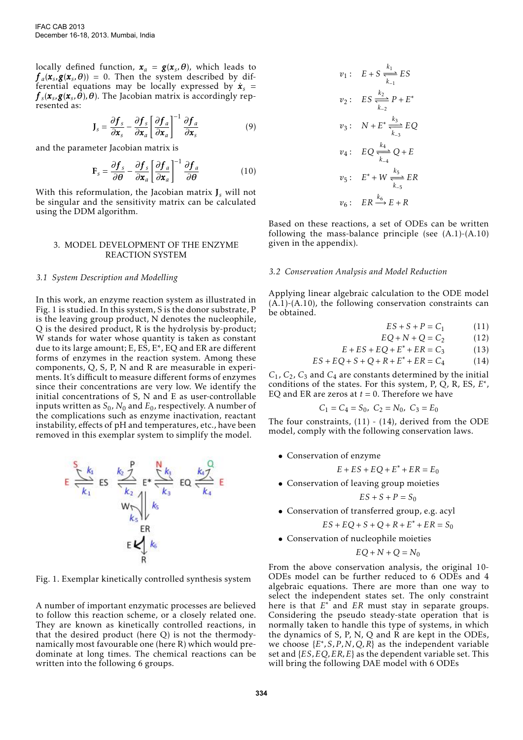locally defined function,  $\mathbf{x}_a = \mathbf{g}(\mathbf{x}_s, \boldsymbol{\theta})$ , which leads to  $f_a$ ( $\mathbf{x}_s$ , $g$ ( $\mathbf{x}_s$ , $\theta$ )) = 0. Then the system described by differential equations may be locally expressed by  $\dot{\bm{x}}_s$  =  $f_{s}(\pmb{x}_{s},\pmb{g}(\pmb{x}_{s},\pmb{\theta}),\pmb{\theta}).$  The Jacobian matrix is accordingly represented as:

$$
\mathbf{J}_s = \frac{\partial \mathbf{f}_s}{\partial \mathbf{x}_s} - \frac{\partial \mathbf{f}_s}{\partial \mathbf{x}_a} \left[ \frac{\partial \mathbf{f}_a}{\partial \mathbf{x}_a} \right]^{-1} \frac{\partial \mathbf{f}_a}{\partial \mathbf{x}_s}
$$
(9)

and the parameter Jacobian matrix is

$$
\mathbf{F}_s = \frac{\partial \mathbf{f}_s}{\partial \boldsymbol{\theta}} - \frac{\partial \mathbf{f}_s}{\partial \mathbf{x}_a} \left[ \frac{\partial \mathbf{f}_a}{\partial \mathbf{x}_a} \right]^{-1} \frac{\partial \mathbf{f}_a}{\partial \boldsymbol{\theta}} \tag{10}
$$

With this reformulation, the Jacobian matrix J*<sup>s</sup>* will not be singular and the sensitivity matrix can be calculated using the DDM algorithm.

## 3. MODEL DEVELOPMENT OF THE ENZYME REACTION SYSTEM

## *3.1 System Description and Modelling*

In this work, an enzyme reaction system as illustrated in Fig. 1 is studied. In this system, S is the donor substrate, P is the leaving group product, N denotes the nucleophile, Q is the desired product, R is the hydrolysis by-product; W stands for water whose quantity is taken as constant due to its large amount; E, ES, E\*, EQ and ER are different forms of enzymes in the reaction system. Among these components, Q, S, P, N and R are measurable in experiments. It's difficult to measure different forms of enzymes since their concentrations are very low. We identify the initial concentrations of S, N and E as user-controllable inputs written as  $S_0$ ,  $N_0$  and  $E_0$ , respectively. A number of the complications such as enzyme inactivation, reactant instability, effects of pH and temperatures, etc., have been removed in this exemplar system to simplify the model.



Fig. 1. Exemplar kinetically controlled synthesis system

A number of important enzymatic processes are believed to follow this reaction scheme, or a closely related one. They are known as kinetically controlled reactions, in that the desired product (here Q) is not the thermodynamically most favourable one (here R) which would predominate at long times. The chemical reactions can be written into the following 6 groups.

$$
v_1: E + S \xrightarrow[k_1]{k_1} ES
$$
  
\n
$$
v_2: ES \xrightarrow[k_2]{k_2} P + E^*
$$
  
\n
$$
v_3: N + E^* \xrightarrow[k_3]{k_3} EQ
$$
  
\n
$$
v_4: EQ \xrightarrow[k_4]{k_4} Q + E
$$
  
\n
$$
v_5: E^* + W \xrightarrow[k_5]{k_5} ER
$$
  
\n
$$
v_6: ER \xrightarrow{k_6} E + R
$$

Based on these reactions, a set of ODEs can be written following the mass-balance principle (see  $(A.1)$ - $(A.10)$ ) given in the appendix).

#### *3.2 Conservation Analysis and Model Reduction*

Applying linear algebraic calculation to the ODE model  $(A.1)$ - $(A.10)$ , the following conservation constraints can be obtained.

$$
ES + S + P = C_1 \tag{11}
$$

$$
EQ + N + Q = C_2 \tag{12}
$$

$$
E + ES + EQ + E^* + ER = C_3 \tag{13}
$$

$$
ES + EQ + S + Q + R + E^* + ER = C_4 \tag{14}
$$

 $C_1$ ,  $C_2$ ,  $C_3$  and  $C_4$  are constants determined by the initial conditions of the states. For this system, P, Q, R, ES, *E*<sup>\*</sup>, EQ and ER are zeros at  $t = 0$ . Therefore we have

$$
C_1=C_4=S_0,\ C_2=N_0,\ C_3=E_0
$$

The four constraints,  $(11) - (14)$ , derived from the ODE model, comply with the following conservation laws.

• Conservation of enzyme

$$
E + ES + EQ + E^* + ER = E_0
$$

• Conservation of leaving group moieties

$$
ES + S + P = S_0
$$

• Conservation of transferred group, e.g. acyl

 $ES + EQ + S + Q + R + E^* + ER = S_0$ 

• Conservation of nucleophile moieties

$$
EQ + N + Q = N_0
$$

From the above conservation analysis, the original 10- ODEs model can be further reduced to 6 ODEs and 4 algebraic equations. There are more than one way to select the independent states set. The only constraint here is that *E* <sup>∗</sup> and *ER* must stay in separate groups. Considering the pseudo steady-state operation that is normally taken to handle this type of systems, in which the dynamics of S, P, N, Q and R are kept in the ODEs, we choose  $\{E^*, S, P, N, Q, R\}$  as the independent variable set and {*ES,EQ,ER,E*} as the dependent variable set. This will bring the following DAE model with 6 ODEs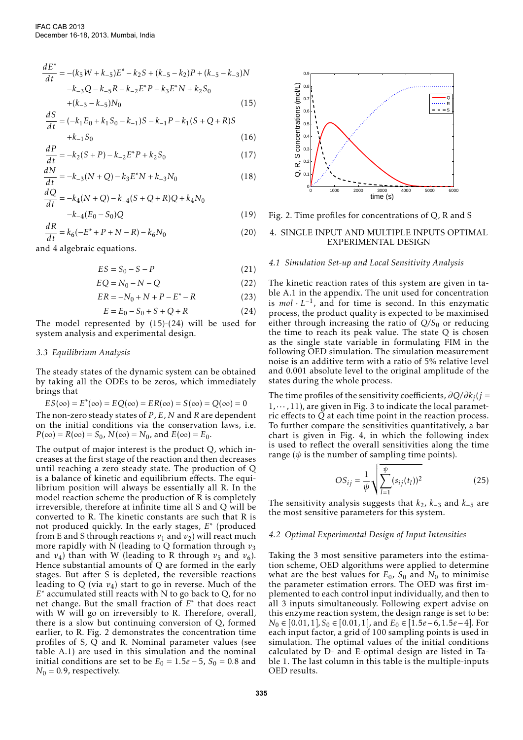$$
\frac{dE^*}{dt} = -(k_5 W + k_{-5})E^* - k_2 S + (k_{-5} - k_2)P + (k_{-5} - k_{-3})N
$$
  

$$
-k_{-3}Q - k_{-5}R - k_{-2}E^*P - k_3E^*N + k_2 S_0
$$
  

$$
+ (k_{-3} - k_{-5})N_0
$$
 (15)

$$
\frac{dS}{dt} = (-k_1 E_0 + k_1 S_0 - k_{-1})S - k_{-1}P - k_1(S + Q + R)S
$$
  
+k<sub>-1</sub>S<sub>0</sub> (16)

$$
\frac{dP}{dt} = -k_2(S+P) - k_{-2}E^*P + k_2S_0\tag{17}
$$

$$
\frac{dN}{dt} = -k_{-3}(N+Q) - k_3 E^* N + k_{-3} N_0 \tag{18}
$$

$$
\frac{dQ}{dt} = -k_4(N+Q) - k_{-4}(S+Q+R)Q + k_4N_0
$$
  

$$
-k_{-4}(E_0 - S_0)Q
$$
 (19)

$$
\frac{dR}{dt} = k_6(-E^* + P + N - R) - k_6N_0\tag{20}
$$

and 4 algebraic equations.

$$
ES = S_0 - S - P \tag{21}
$$

$$
EQ = N_0 - N - Q \tag{22}
$$

$$
ER = -N_0 + N + P - E^* - R \tag{23}
$$

$$
E = E_0 - S_0 + S + Q + R \tag{24}
$$

The model represented by (15)-(24) will be used for system analysis and experimental design.

## *3.3 Equilibrium Analysis*

The steady states of the dynamic system can be obtained by taking all the ODEs to be zeros, which immediately brings that

$$
ES(\infty) = E^*(\infty) = EQ(\infty) = ER(\infty) = S(\infty) = Q(\infty) = 0
$$

The non-zero steady states of *P* , *E*, *N* and *R* are dependent on the initial conditions via the conservation laws, i.e.  $P(\infty) = R(\infty) = S_0$ ,  $N(\infty) = N_0$ , and  $E(\infty) = E_0$ .

The output of major interest is the product Q, which increases at the first stage of the reaction and then decreases until reaching a zero steady state. The production of Q is a balance of kinetic and equilibrium effects. The equilibrium position will always be essentially all R. In the model reaction scheme the production of R is completely irreversible, therefore at infinite time all S and Q will be converted to R. The kinetic constants are such that R is not produced quickly. In the early stages, *E* ∗ (produced from E and S through reactions  $v_1$  and  $v_2$ ) will react much more rapidly with N (leading to Q formation through  $v_3$ and  $v_4$ ) than with W (leading to R through  $v_5$  and  $v_6$ ). Hence substantial amounts of Q are formed in the early stages. But after S is depleted, the reversible reactions leading to Q (via *v*4) start to go in reverse. Much of the *E* <sup>∗</sup> accumulated still reacts with N to go back to Q, for no net change. But the small fraction of *E* ∗ that does react with W will go on irreversibly to R. Therefore, overall, there is a slow but continuing conversion of Q, formed earlier, to R. Fig. 2 demonstrates the concentration time profiles of S, Q and R. Nominal parameter values (see table A.1) are used in this simulation and the nominal initial conditions are set to be  $E_0 = 1.5e - 5$ ,  $S_0 = 0.8$  and  $N_0 = 0.9$ , respectively.



Fig. 2. Time profiles for concentrations of Q, R and S

## 4. SINGLE INPUT AND MULTIPLE INPUTS OPTIMAL EXPERIMENTAL DESIGN

## *4.1 Simulation Set-up and Local Sensitivity Analysis*

The kinetic reaction rates of this system are given in table A.1 in the appendix. The unit used for concentration is  $mol \cdot L^{-1}$ , and for time is second. In this enzymatic process, the product quality is expected to be maximised either through increasing the ratio of  $Q/S_0$  or reducing the time to reach its peak value. The state Q is chosen as the single state variable in formulating FIM in the following OED simulation. The simulation measurement noise is an additive term with a ratio of 5% relative level and 0*.*001 absolute level to the original amplitude of the states during the whole process.

The time profiles of the sensitivity coefficients, *∂Q/∂k<sup>j</sup>* (*j* =  $1, \dots, 11$ ), are given in Fig. 3 to indicate the local parametric effects to *Q* at each time point in the reaction process. To further compare the sensitivities quantitatively, a bar chart is given in Fig. 4, in which the following index is used to reflect the overall sensitivities along the time range ( $\psi$  is the number of sampling time points).

$$
OS_{ij} = \frac{1}{\psi} \sqrt{\sum_{l=1}^{\psi} (s_{ij}(t_l))^2}
$$
 (25)

The sensitivity analysis suggests that *k*2, *k*−<sup>3</sup> and *k*−<sup>5</sup> are the most sensitive parameters for this system.

## *4.2 Optimal Experimental Design of Input Intensities*

Taking the 3 most sensitive parameters into the estimation scheme, OED algorithms were applied to determine what are the best values for  $E_0$ ,  $S_0$  and  $N_0$  to minimise the parameter estimation errors. The OED was first implemented to each control input individually, and then to all 3 inputs simultaneously. Following expert advise on this enzyme reaction system, the design range is set to be: *N*<sub>0</sub> ∈ [0*.*01*,* 1]*, S*<sub>0</sub> ∈ [0*.*01*,* 1]*,* and *E*<sub>0</sub> ∈ [1*.5e* − 6*,*1*.5e* − 4]. For each input factor, a grid of 100 sampling points is used in simulation. The optimal values of the initial conditions calculated by D- and E-optimal design are listed in Table 1. The last column in this table is the multiple-inputs OED results.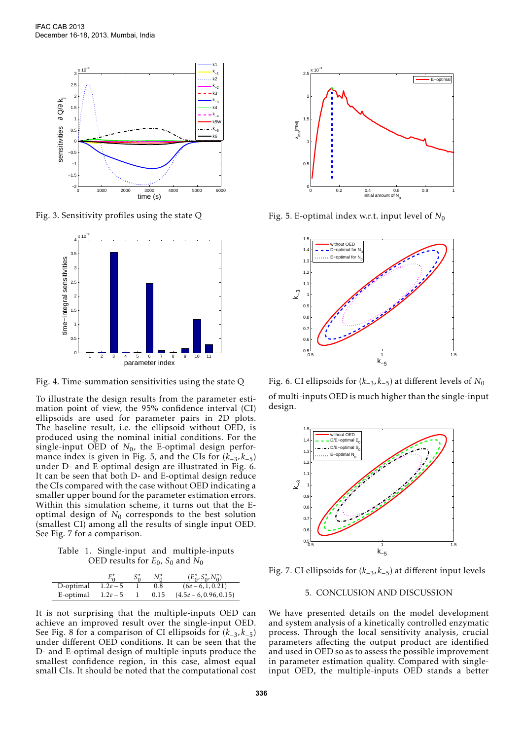

Fig. 3. Sensitivity profiles using the state Q



Fig. 4. Time-summation sensitivities using the state Q

To illustrate the design results from the parameter estimation point of view, the 95% confidence interval (CI) ellipsoids are used for parameter pairs in 2D plots. The baseline result, i.e. the ellipsoid without OED, is produced using the nominal initial conditions. For the single-input OED of  $N_0$ , the E-optimal design performance index is given in Fig. 5, and the CIs for  $(k_{-3}^-, k_{-5})$ under D- and E-optimal design are illustrated in Fig. 6. It can be seen that both D- and E-optimal design reduce the CIs compared with the case without OED indicating a smaller upper bound for the parameter estimation errors. Within this simulation scheme, it turns out that the Eoptimal design of  $N_0$  corresponds to the best solution (smallest CI) among all the results of single input OED. See Fig. 7 for a comparison.

Table 1. Single-input and multiple-inputs OED results for  $E_0$ ,  $S_0$  and  $N_0$ 

|           | $E_{\alpha}^*$ | $S^*_{0}$ |      | $(E_0^*, S_0^*, N_0^*)$ |
|-----------|----------------|-----------|------|-------------------------|
| D-optimal | $1.2e - 5$     |           | 0.8  | $(6e-6, 1, 0.21)$       |
| E-optimal | $1.2e-5$       |           | 0.15 | $(4.5e-6, 0.96, 0.15)$  |

It is not surprising that the multiple-inputs OED can achieve an improved result over the single-input OED. See Fig. 8 for a comparison of CI ellipsoids for (*k*−3*,k*−5) under different OED conditions. It can be seen that the D- and E-optimal design of multiple-inputs produce the smallest confidence region, in this case, almost equal small CIs. It should be noted that the computational cost



Fig. 5. E-optimal index w.r.t. input level of  $N_0$ 



Fig. 6. CI ellipsoids for (*k*−3*,k*−5) at different levels of *N*<sup>0</sup> of multi-inputs OED is much higher than the single-input design.



Fig. 7. CI ellipsoids for (*k*−3*,k*−5) at different input levels

# 5. CONCLUSION AND DISCUSSION

We have presented details on the model development and system analysis of a kinetically controlled enzymatic process. Through the local sensitivity analysis, crucial parameters affecting the output product are identified and used in OED so as to assess the possible improvement in parameter estimation quality. Compared with singleinput OED, the multiple-inputs OED stands a better